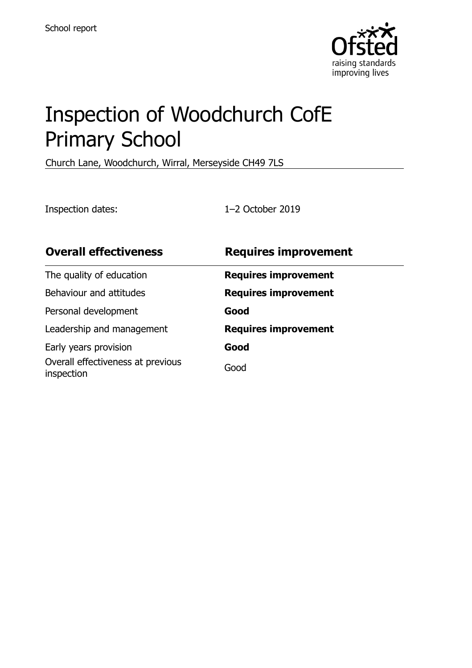

# Inspection of Woodchurch CofE Primary School

Church Lane, Woodchurch, Wirral, Merseyside CH49 7LS

Inspection dates: 1–2 October 2019

| <b>Overall effectiveness</b>                    | <b>Requires improvement</b> |
|-------------------------------------------------|-----------------------------|
| The quality of education                        | <b>Requires improvement</b> |
| Behaviour and attitudes                         | <b>Requires improvement</b> |
| Personal development                            | Good                        |
| Leadership and management                       | <b>Requires improvement</b> |
| Early years provision                           | Good                        |
| Overall effectiveness at previous<br>inspection | Good                        |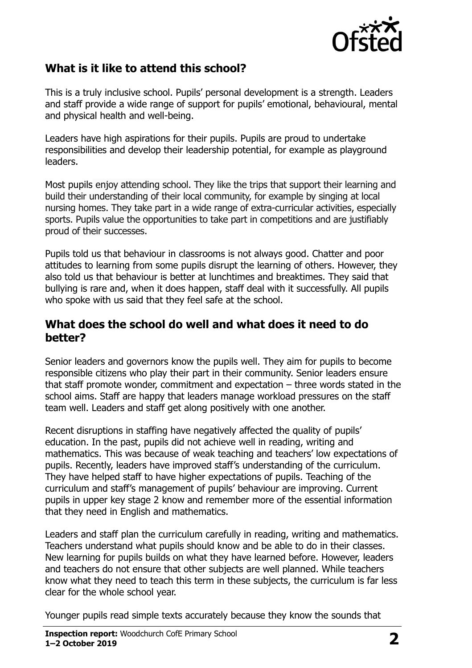

## **What is it like to attend this school?**

This is a truly inclusive school. Pupils' personal development is a strength. Leaders and staff provide a wide range of support for pupils' emotional, behavioural, mental and physical health and well-being.

Leaders have high aspirations for their pupils. Pupils are proud to undertake responsibilities and develop their leadership potential, for example as playground leaders.

Most pupils enjoy attending school. They like the trips that support their learning and build their understanding of their local community, for example by singing at local nursing homes. They take part in a wide range of extra-curricular activities, especially sports. Pupils value the opportunities to take part in competitions and are justifiably proud of their successes.

Pupils told us that behaviour in classrooms is not always good. Chatter and poor attitudes to learning from some pupils disrupt the learning of others. However, they also told us that behaviour is better at lunchtimes and breaktimes. They said that bullying is rare and, when it does happen, staff deal with it successfully. All pupils who spoke with us said that they feel safe at the school.

#### **What does the school do well and what does it need to do better?**

Senior leaders and governors know the pupils well. They aim for pupils to become responsible citizens who play their part in their community. Senior leaders ensure that staff promote wonder, commitment and expectation – three words stated in the school aims. Staff are happy that leaders manage workload pressures on the staff team well. Leaders and staff get along positively with one another.

Recent disruptions in staffing have negatively affected the quality of pupils' education. In the past, pupils did not achieve well in reading, writing and mathematics. This was because of weak teaching and teachers' low expectations of pupils. Recently, leaders have improved staff's understanding of the curriculum. They have helped staff to have higher expectations of pupils. Teaching of the curriculum and staff's management of pupils' behaviour are improving. Current pupils in upper key stage 2 know and remember more of the essential information that they need in English and mathematics.

Leaders and staff plan the curriculum carefully in reading, writing and mathematics. Teachers understand what pupils should know and be able to do in their classes. New learning for pupils builds on what they have learned before. However, leaders and teachers do not ensure that other subjects are well planned. While teachers know what they need to teach this term in these subjects, the curriculum is far less clear for the whole school year.

Younger pupils read simple texts accurately because they know the sounds that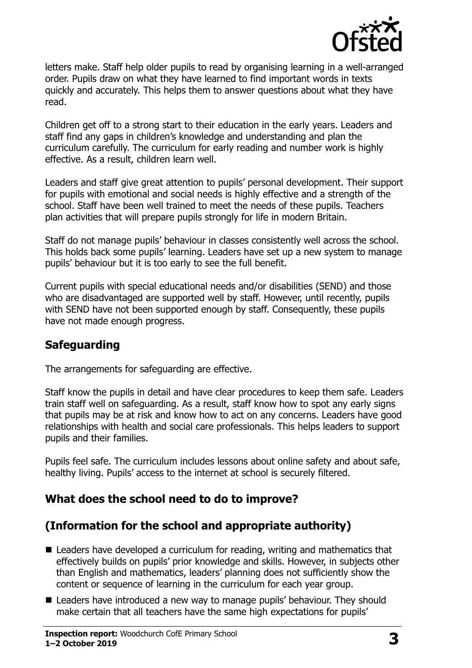

letters make. Staff help older pupils to read by organising learning in a well-arranged order. Pupils draw on what they have learned to find important words in texts quickly and accurately. This helps them to answer questions about what they have read.

Children get off to a strong start to their education in the early years. Leaders and staff find any gaps in children's knowledge and understanding and plan the curriculum carefully. The curriculum for early reading and number work is highly effective. As a result, children learn well.

Leaders and staff give great attention to pupils' personal development. Their support for pupils with emotional and social needs is highly effective and a strength of the school. Staff have been well trained to meet the needs of these pupils. Teachers plan activities that will prepare pupils strongly for life in modern Britain.

Staff do not manage pupils' behaviour in classes consistently well across the school. This holds back some pupils' learning. Leaders have set up a new system to manage pupils' behaviour but it is too early to see the full benefit.

Current pupils with special educational needs and/or disabilities (SEND) and those who are disadvantaged are supported well by staff. However, until recently, pupils with SEND have not been supported enough by staff. Consequently, these pupils have not made enough progress.

# **Safeguarding**

The arrangements for safeguarding are effective.

Staff know the pupils in detail and have clear procedures to keep them safe. Leaders train staff well on safeguarding. As a result, staff know how to spot any early signs that pupils may be at risk and know how to act on any concerns. Leaders have good relationships with health and social care professionals. This helps leaders to support pupils and their families.

Pupils feel safe. The curriculum includes lessons about online safety and about safe, healthy living. Pupils' access to the internet at school is securely filtered.

#### **What does the school need to do to improve?**

# **(Information for the school and appropriate authority)**

- Leaders have developed a curriculum for reading, writing and mathematics that effectively builds on pupils' prior knowledge and skills. However, in subjects other than English and mathematics, leaders' planning does not sufficiently show the content or sequence of learning in the curriculum for each year group.
- Leaders have introduced a new way to manage pupils' behaviour. They should make certain that all teachers have the same high expectations for pupils'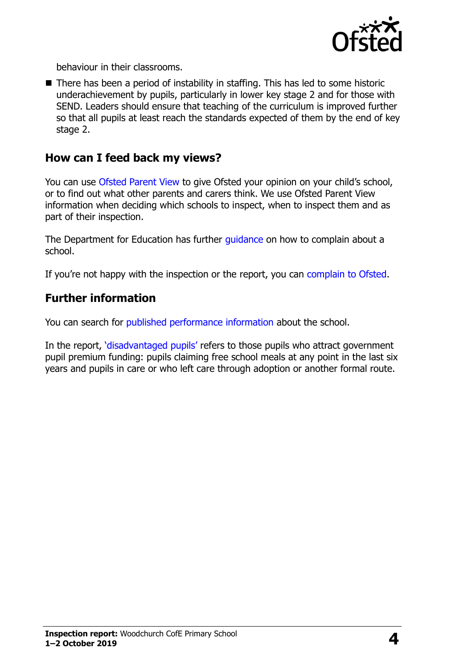

behaviour in their classrooms.

■ There has been a period of instability in staffing. This has led to some historic underachievement by pupils, particularly in lower key stage 2 and for those with SEND. Leaders should ensure that teaching of the curriculum is improved further so that all pupils at least reach the standards expected of them by the end of key stage 2.

#### **How can I feed back my views?**

You can use [Ofsted Parent View](http://parentview.ofsted.gov.uk/) to give Ofsted your opinion on your child's school, or to find out what other parents and carers think. We use Ofsted Parent View information when deciding which schools to inspect, when to inspect them and as part of their inspection.

The Department for Education has further quidance on how to complain about a school.

If you're not happy with the inspection or the report, you can [complain to Ofsted.](http://www.gov.uk/complain-ofsted-report)

#### **Further information**

You can search for [published performance information](http://www.compare-school-performance.service.gov.uk/) about the school.

In the report, '[disadvantaged pupils](http://www.gov.uk/guidance/pupil-premium-information-for-schools-and-alternative-provision-settings)' refers to those pupils who attract government pupil premium funding: pupils claiming free school meals at any point in the last six years and pupils in care or who left care through adoption or another formal route.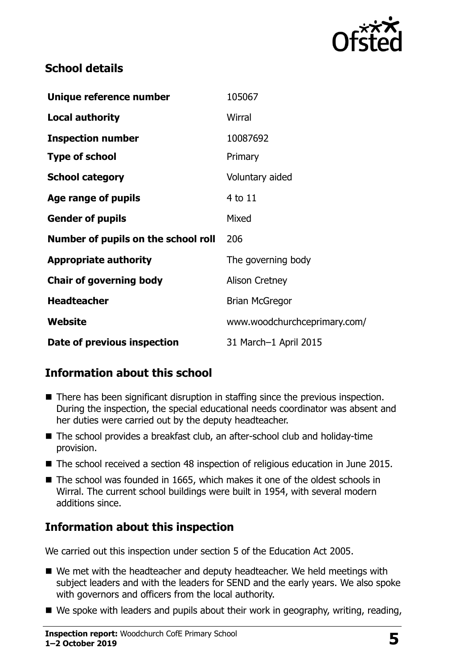

## **School details**

| Unique reference number             | 105067                       |
|-------------------------------------|------------------------------|
| <b>Local authority</b>              | Wirral                       |
| <b>Inspection number</b>            | 10087692                     |
| <b>Type of school</b>               | Primary                      |
| <b>School category</b>              | Voluntary aided              |
| Age range of pupils                 | 4 to 11                      |
| <b>Gender of pupils</b>             | Mixed                        |
| Number of pupils on the school roll | 206                          |
| <b>Appropriate authority</b>        | The governing body           |
| <b>Chair of governing body</b>      | <b>Alison Cretney</b>        |
| <b>Headteacher</b>                  | Brian McGregor               |
| Website                             | www.woodchurchceprimary.com/ |
| Date of previous inspection         | 31 March-1 April 2015        |

# **Information about this school**

- There has been significant disruption in staffing since the previous inspection. During the inspection, the special educational needs coordinator was absent and her duties were carried out by the deputy headteacher.
- The school provides a breakfast club, an after-school club and holiday-time provision.
- The school received a section 48 inspection of religious education in June 2015.
- The school was founded in 1665, which makes it one of the oldest schools in Wirral. The current school buildings were built in 1954, with several modern additions since.

# **Information about this inspection**

We carried out this inspection under section 5 of the Education Act 2005.

- We met with the headteacher and deputy headteacher. We held meetings with subject leaders and with the leaders for SEND and the early years. We also spoke with governors and officers from the local authority.
- We spoke with leaders and pupils about their work in geography, writing, reading,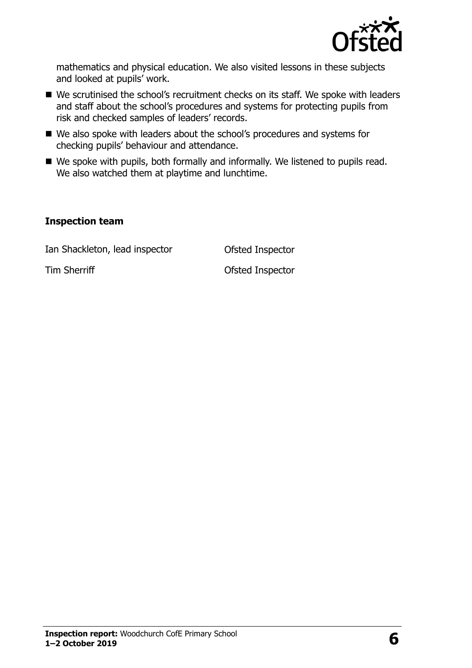

mathematics and physical education. We also visited lessons in these subjects and looked at pupils' work.

- We scrutinised the school's recruitment checks on its staff. We spoke with leaders and staff about the school's procedures and systems for protecting pupils from risk and checked samples of leaders' records.
- We also spoke with leaders about the school's procedures and systems for checking pupils' behaviour and attendance.
- We spoke with pupils, both formally and informally. We listened to pupils read. We also watched them at playtime and lunchtime.

#### **Inspection team**

Ian Shackleton, lead inspector **Ofsted Inspector** 

Tim Sherriff **Tim Sherriff Contract Contract Contract Contract Contract Contract Contract Contract Contract Contract Contract Contract Contract Contract Contract Contract Contract Contract Contract Contract Contract Cont**